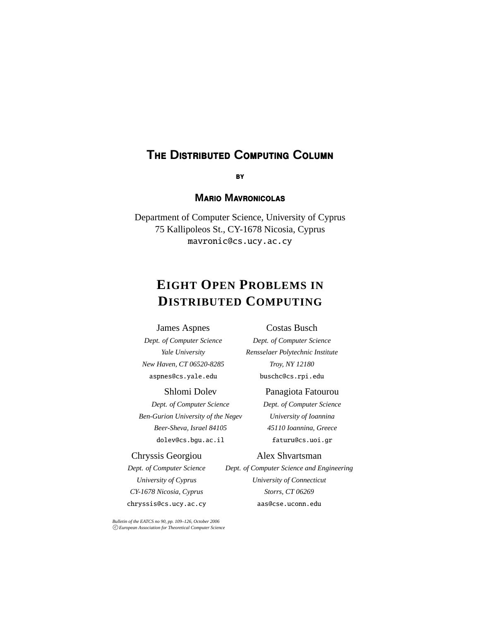# **T**he **D**istributed **C**omputing **C**olumn

## **M**ario **M**avronicolas

Department of Computer Science, University of Cyprus 75 Kallipoleos St., CY-1678 Nicosia, Cyprus mavronic@cs.ucy.ac.cy

# **EIGHT OPEN PROBLEMS IN DISTRIBUTED COMPUTING**

#### James Aspnes

#### Costas Busch

*Dept. of Computer Science Yale University New Haven, CT 06520-8285* aspnes@cs.yale.edu

#### Shlomi Dolev

*Dept. of Computer Science Ben-Gurion University of the Negev Beer-Sheva, Israel 84105* dolev@cs.bgu.ac.il

#### Chryssis Georgiou

*Dept. of Computer Science University of Cyprus CY-1678 Nicosia, Cyprus* chryssis@cs.ucy.ac.cy

*Bulletin of the EATCS no 90, pp. 109–126, October 2006 c European Association for Theoretical Computer Science*

*Dept. of Computer Science Rensselaer Polytechnic Institute Troy, NY 12180* buschc@cs.rpi.edu

#### Panagiota Fatourou

*Dept. of Computer Science University of Ioannina 45110 Ioannina, Greece* faturu@cs.uoi.gr

#### Alex Shvartsman

*Dept. of Computer Science and Engineering University of Connecticut Storrs, CT 06269* aas@cse.uconn.edu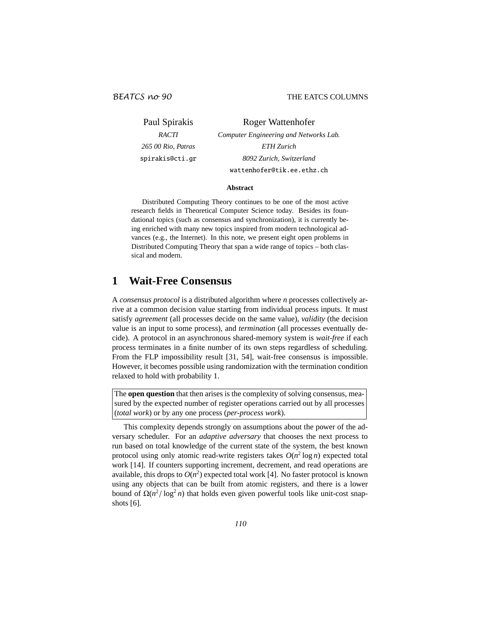Paul Spirakis *RACTI 265 00 Rio, Patras* spirakis@cti.gr Roger Wattenhofer *Computer Engineering and Networks Lab. ETH Zurich 8092 Zurich, Switzerland* wattenhofer@tik.ee.ethz.ch

#### **Abstract**

Distributed Computing Theory continues to be one of the most active research fields in Theoretical Computer Science today. Besides its foundational topics (such as consensus and synchronization), it is currently being enriched with many new topics inspired from modern technological advances (e.g., the Internet). In this note, we present eight open problems in Distributed Computing Theory that span a wide range of topics – both classical and modern.

## **1 Wait-Free Consensus**

A *consensus protocol* is a distributed algorithm where *n* processes collectively arrive at a common decision value starting from individual process inputs. It must satisfy *agreement* (all processes decide on the same value), *validity* (the decision value is an input to some process), and *termination* (all processes eventually decide). A protocol in an asynchronous shared-memory system is *wait-free* if each process terminates in a finite number of its own steps regardless of scheduling. From the FLP impossibility result [31, 54], wait-free consensus is impossible. However, it becomes possible using randomization with the termination condition relaxed to hold with probability 1.

The **open question** that then arises is the complexity of solving consensus, measured by the expected number of register operations carried out by all processes (*total work*) or by any one process (*per-process work*).

This complexity depends strongly on assumptions about the power of the adversary scheduler. For an *adaptive adversary* that chooses the next process to run based on total knowledge of the current state of the system, the best known protocol using only atomic read-write registers takes  $O(n^2 \log n)$  expected total work [14]. If counters supporting increment, decrement, and read operations are available, this drops to  $O(n^2)$  expected total work [4]. No faster protocol is known using any objects that can be built from atomic registers, and there is a lower bound of  $\Omega(n^2/\log^2 n)$  that holds even given powerful tools like unit-cost snapshots [6].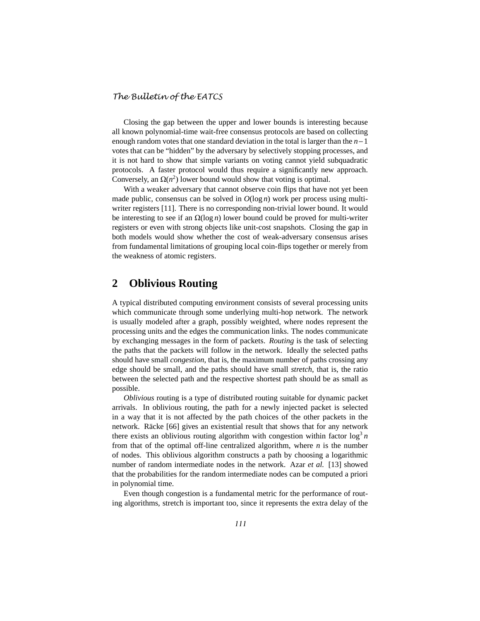Closing the gap between the upper and lower bounds is interesting because all known polynomial-time wait-free consensus protocols are based on collecting enough random votes that one standard deviation in the total is larger than the *n*−1 votes that can be "hidden" by the adversary by selectively stopping processes, and it is not hard to show that simple variants on voting cannot yield subquadratic protocols. A faster protocol would thus require a significantly new approach. Conversely, an  $\Omega(n^2)$  lower bound would show that voting is optimal.

With a weaker adversary that cannot observe coin flips that have not yet been made public, consensus can be solved in  $O(\log n)$  work per process using multiwriter registers [11]. There is no corresponding non-trivial lower bound. It would be interesting to see if an  $\Omega(\log n)$  lower bound could be proved for multi-writer registers or even with strong objects like unit-cost snapshots. Closing the gap in both models would show whether the cost of weak-adversary consensus arises from fundamental limitations of grouping local coin-flips together or merely from the weakness of atomic registers.

## **2 Oblivious Routing**

A typical distributed computing environment consists of several processing units which communicate through some underlying multi-hop network. The network is usually modeled after a graph, possibly weighted, where nodes represent the processing units and the edges the communication links. The nodes communicate by exchanging messages in the form of packets. *Routing* is the task of selecting the paths that the packets will follow in the network. Ideally the selected paths should have small *congestion*, that is, the maximum number of paths crossing any edge should be small, and the paths should have small *stretch*, that is, the ratio between the selected path and the respective shortest path should be as small as possible.

*Oblivious* routing is a type of distributed routing suitable for dynamic packet arrivals. In oblivious routing, the path for a newly injected packet is selected in a way that it is not affected by the path choices of the other packets in the network. Räcke [66] gives an existential result that shows that for any network there exists an oblivious routing algorithm with congestion within factor  $\log^3 n$ from that of the optimal off-line centralized algorithm, where *n* is the number of nodes. This oblivious algorithm constructs a path by choosing a logarithmic number of random intermediate nodes in the network. Azar *et al.* [13] showed that the probabilities for the random intermediate nodes can be computed a priori in polynomial time.

Even though congestion is a fundamental metric for the performance of routing algorithms, stretch is important too, since it represents the extra delay of the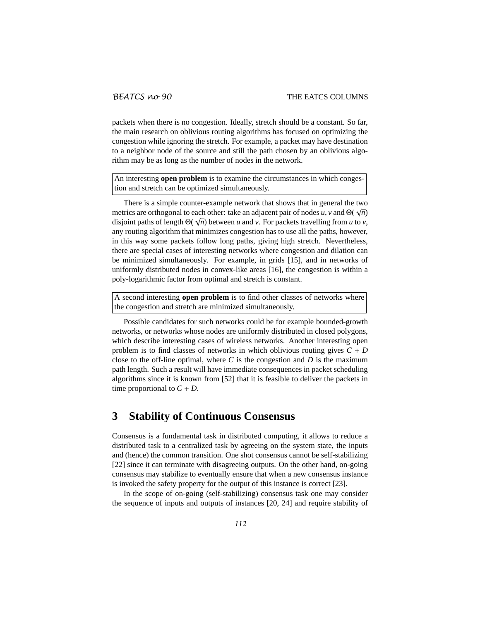packets when there is no congestion. Ideally, stretch should be a constant. So far, the main research on oblivious routing algorithms has focused on optimizing the congestion while ignoring the stretch. For example, a packet may have destination to a neighbor node of the source and still the path chosen by an oblivious algorithm may be as long as the number of nodes in the network.

An interesting **open problem** is to examine the circumstances in which congestion and stretch can be optimized simultaneously.

There is a simple counter-example network that shows that in general the two metrics are orthogonal to each other: take an adjacent pair of nodes  $u$ ,  $v$  and  $\Theta(\sqrt{n})$ disjoint paths of length  $\Theta(\sqrt{n})$  between *u* and *v*. For packets travelling from *u* to *v*, any routing algorithm that minimizes congestion has to use all the paths, however, in this way some packets follow long paths, giving high stretch. Nevertheless, there are special cases of interesting networks where congestion and dilation can be minimized simultaneously. For example, in grids [15], and in networks of uniformly distributed nodes in convex-like areas [16], the congestion is within a poly-logarithmic factor from optimal and stretch is constant.

A second interesting **open problem** is to find other classes of networks where the congestion and stretch are minimized simultaneously.

Possible candidates for such networks could be for example bounded-growth networks, or networks whose nodes are uniformly distributed in closed polygons, which describe interesting cases of wireless networks. Another interesting open problem is to find classes of networks in which oblivious routing gives  $C + D$ close to the off-line optimal, where *C* is the congestion and *D* is the maximum path length. Such a result will have immediate consequences in packet scheduling algorithms since it is known from [52] that it is feasible to deliver the packets in time proportional to  $C + D$ .

## **3 Stability of Continuous Consensus**

Consensus is a fundamental task in distributed computing, it allows to reduce a distributed task to a centralized task by agreeing on the system state, the inputs and (hence) the common transition. One shot consensus cannot be self-stabilizing [22] since it can terminate with disagreeing outputs. On the other hand, on-going consensus may stabilize to eventually ensure that when a new consensus instance is invoked the safety property for the output of this instance is correct [23].

In the scope of on-going (self-stabilizing) consensus task one may consider the sequence of inputs and outputs of instances [20, 24] and require stability of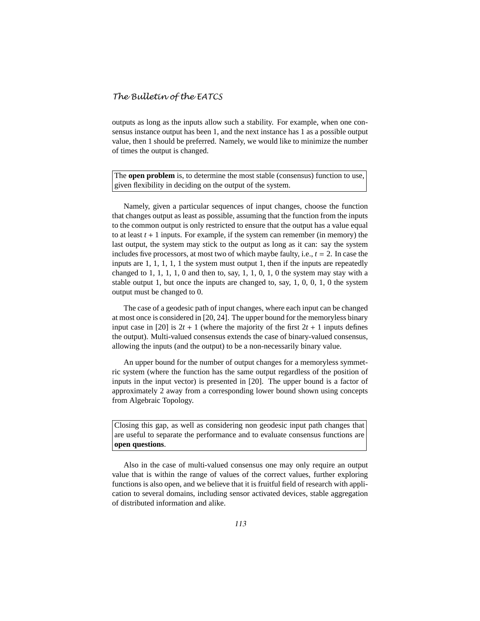outputs as long as the inputs allow such a stability. For example, when one consensus instance output has been 1, and the next instance has 1 as a possible output value, then 1 should be preferred. Namely, we would like to minimize the number of times the output is changed.

The **open problem** is, to determine the most stable (consensus) function to use, given flexibility in deciding on the output of the system.

Namely, given a particular sequences of input changes, choose the function that changes output as least as possible, assuming that the function from the inputs to the common output is only restricted to ensure that the output has a value equal to at least  $t + 1$  inputs. For example, if the system can remember (in memory) the last output, the system may stick to the output as long as it can: say the system includes five processors, at most two of which maybe faulty, i.e.,  $t = 2$ . In case the inputs are 1, 1, 1, 1, 1 the system must output 1, then if the inputs are repeatedly changed to 1, 1, 1, 1, 0 and then to, say, 1, 1, 0, 1, 0 the system may stay with a stable output 1, but once the inputs are changed to, say, 1, 0, 0, 1, 0 the system output must be changed to 0.

The case of a geodesic path of input changes, where each input can be changed at most once is considered in [20, 24]. The upper bound for the memoryless binary input case in [20] is  $2t + 1$  (where the majority of the first  $2t + 1$  inputs defines the output). Multi-valued consensus extends the case of binary-valued consensus, allowing the inputs (and the output) to be a non-necessarily binary value.

An upper bound for the number of output changes for a memoryless symmetric system (where the function has the same output regardless of the position of inputs in the input vector) is presented in [20]. The upper bound is a factor of approximately 2 away from a corresponding lower bound shown using concepts from Algebraic Topology.

Closing this gap, as well as considering non geodesic input path changes that are useful to separate the performance and to evaluate consensus functions are **open questions**.

Also in the case of multi-valued consensus one may only require an output value that is within the range of values of the correct values, further exploring functions is also open, and we believe that it is fruitful field of research with application to several domains, including sensor activated devices, stable aggregation of distributed information and alike.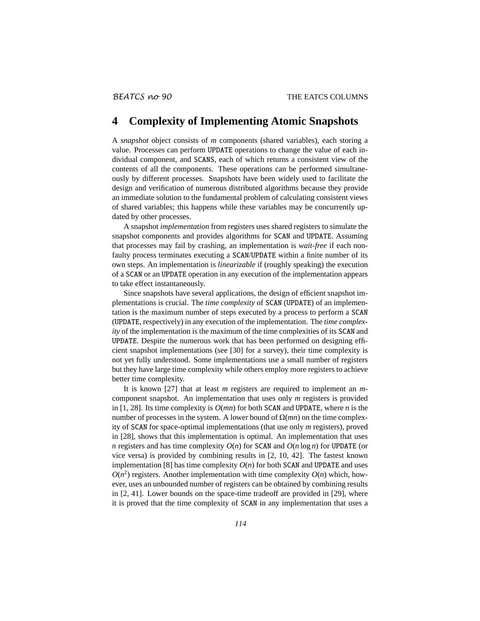## **4 Complexity of Implementing Atomic Snapshots**

A *snapshot* object consists of *m* components (shared variables), each storing a value. Processes can perform UPDATE operations to change the value of each individual component, and SCANS, each of which returns a consistent view of the contents of all the components. These operations can be performed simultaneously by different processes. Snapshots have been widely used to facilitate the design and verification of numerous distributed algorithms because they provide an immediate solution to the fundamental problem of calculating consistent views of shared variables; this happens while these variables may be concurrently updated by other processes.

A snapshot *implementation* from registers uses shared registers to simulate the snapshot components and provides algorithms for SCAN and UPDATE. Assuming that processes may fail by crashing, an implementation is *wait-free* if each nonfaulty process terminates executing a SCAN/UPDATE within a finite number of its own steps. An implementation is *linearizable* if (roughly speaking) the execution of a SCAN or an UPDATE operation in any execution of the implementation appears to take effect instantaneously.

Since snapshots have several applications, the design of efficient snapshot implementations is crucial. The *time complexity* of SCAN (UPDATE) of an implementation is the maximum number of steps executed by a process to perform a SCAN (UPDATE, respectively) in any execution of the implementation. The *time complexity* of the implementation is the maximum of the time complexities of its SCAN and UPDATE. Despite the numerous work that has been performed on designing efficient snapshot implementations (see [30] for a survey), their time complexity is not yet fully understood. Some implementations use a small number of registers but they have large time complexity while others employ more registers to achieve better time complexity.

It is known [27] that at least *m* registers are required to implement an *m*component snapshot. An implementation that uses only *m* registers is provided in [1, 28]. Its time complexity is *O*(*mn*) for both SCAN and UPDATE, where *n* is the number of processes in the system. A lower bound of  $Ω(mn)$  on the time complexity of SCAN for space-optimal implementations (that use only *m* registers), proved in [28], shows that this implementation is optimal. An implementation that uses *n* registers and has time complexity  $O(n)$  for SCAN and  $O(n \log n)$  for UPDATE (or vice versa) is provided by combining results in [2, 10, 42]. The fastest known implementation [8] has time complexity  $O(n)$  for both SCAN and UPDATE and uses  $O(n^2)$  registers. Another implementation with time complexity  $O(n)$  which, however, uses an unbounded number of registers can be obtained by combining results in [2, 41]. Lower bounds on the space-time tradeoff are provided in [29], where it is proved that the time complexity of SCAN in any implementation that uses a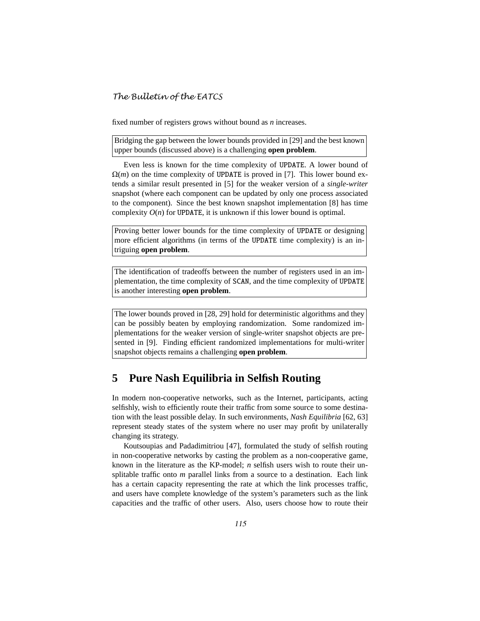fixed number of registers grows without bound as *n* increases.

Bridging the gap between the lower bounds provided in [29] and the best known upper bounds (discussed above) is a challenging **open problem**.

Even less is known for the time complexity of UPDATE. A lower bound of  $\Omega(m)$  on the time complexity of UPDATE is proved in [7]. This lower bound extends a similar result presented in [5] for the weaker version of a *single-writer* snapshot (where each component can be updated by only one process associated to the component). Since the best known snapshot implementation [8] has time complexity  $O(n)$  for UPDATE, it is unknown if this lower bound is optimal.

Proving better lower bounds for the time complexity of UPDATE or designing more efficient algorithms (in terms of the UPDATE time complexity) is an intriguing **open problem**.

The identification of tradeoffs between the number of registers used in an implementation, the time complexity of SCAN, and the time complexity of UPDATE is another interesting **open problem**.

The lower bounds proved in [28, 29] hold for deterministic algorithms and they can be possibly beaten by employing randomization. Some randomized implementations for the weaker version of single-writer snapshot objects are presented in [9]. Finding efficient randomized implementations for multi-writer snapshot objects remains a challenging **open problem**.

## **5 Pure Nash Equilibria in Selfish Routing**

In modern non-cooperative networks, such as the Internet, participants, acting selfishly, wish to efficiently route their traffic from some source to some destination with the least possible delay. In such environments, *Nash Equilibria* [62, 63] represent steady states of the system where no user may profit by unilaterally changing its strategy.

Koutsoupias and Padadimitriou [47], formulated the study of selfish routing in non-cooperative networks by casting the problem as a non-cooperative game, known in the literature as the KP-model; *n* selfish users wish to route their unsplitable traffic onto *m* parallel links from a source to a destination. Each link has a certain capacity representing the rate at which the link processes traffic, and users have complete knowledge of the system's parameters such as the link capacities and the traffic of other users. Also, users choose how to route their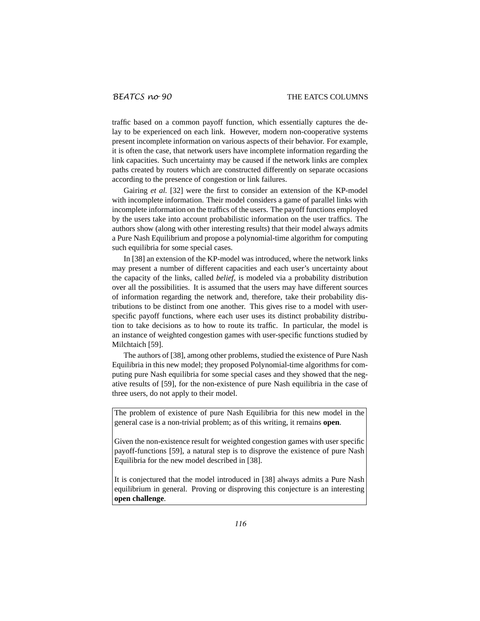traffic based on a common payoff function, which essentially captures the delay to be experienced on each link. However, modern non-cooperative systems present incomplete information on various aspects of their behavior. For example, it is often the case, that network users have incomplete information regarding the link capacities. Such uncertainty may be caused if the network links are complex paths created by routers which are constructed differently on separate occasions according to the presence of congestion or link failures.

Gairing *et al.* [32] were the first to consider an extension of the KP-model with incomplete information. Their model considers a game of parallel links with incomplete information on the traffics of the users. The payoff functions employed by the users take into account probabilistic information on the user traffics. The authors show (along with other interesting results) that their model always admits a Pure Nash Equilibrium and propose a polynomial-time algorithm for computing such equilibria for some special cases.

In [38] an extension of the KP-model was introduced, where the network links may present a number of different capacities and each user's uncertainty about the capacity of the links, called *belief*, is modeled via a probability distribution over all the possibilities. It is assumed that the users may have different sources of information regarding the network and, therefore, take their probability distributions to be distinct from one another. This gives rise to a model with userspecific payoff functions, where each user uses its distinct probability distribution to take decisions as to how to route its traffic. In particular, the model is an instance of weighted congestion games with user-specific functions studied by Milchtaich [59].

The authors of [38], among other problems, studied the existence of Pure Nash Equilibria in this new model; they proposed Polynomial-time algorithms for computing pure Nash equilibria for some special cases and they showed that the negative results of [59], for the non-existence of pure Nash equilibria in the case of three users, do not apply to their model.

The problem of existence of pure Nash Equilibria for this new model in the general case is a non-trivial problem; as of this writing, it remains **open**.

Given the non-existence result for weighted congestion games with user specific payoff-functions [59], a natural step is to disprove the existence of pure Nash Equilibria for the new model described in [38].

It is conjectured that the model introduced in [38] always admits a Pure Nash equilibrium in general. Proving or disproving this conjecture is an interesting **open challenge**.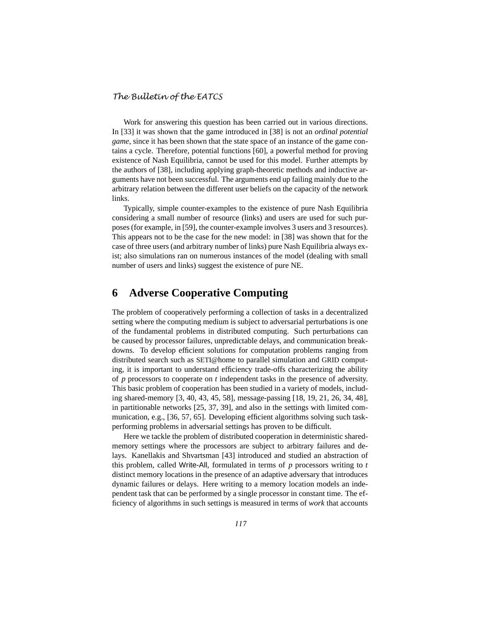Work for answering this question has been carried out in various directions. In [33] it was shown that the game introduced in [38] is not an *ordinal potential game*, since it has been shown that the state space of an instance of the game contains a cycle. Therefore, potential functions [60], a powerful method for proving existence of Nash Equilibria, cannot be used for this model. Further attempts by the authors of [38], including applying graph-theoretic methods and inductive arguments have not been successful. The arguments end up failing mainly due to the arbitrary relation between the different user beliefs on the capacity of the network links.

Typically, simple counter-examples to the existence of pure Nash Equilibria considering a small number of resource (links) and users are used for such purposes (for example, in [59], the counter-example involves 3 users and 3 resources). This appears not to be the case for the new model: in [38] was shown that for the case of three users (and arbitrary number of links) pure Nash Equilibria always exist; also simulations ran on numerous instances of the model (dealing with small number of users and links) suggest the existence of pure NE.

## **6 Adverse Cooperative Computing**

The problem of cooperatively performing a collection of tasks in a decentralized setting where the computing medium is subject to adversarial perturbations is one of the fundamental problems in distributed computing. Such perturbations can be caused by processor failures, unpredictable delays, and communication breakdowns. To develop efficient solutions for computation problems ranging from distributed search such as SETI@home to parallel simulation and GRID computing, it is important to understand efficiency trade-offs characterizing the ability of *p* processors to cooperate on *t* independent tasks in the presence of adversity. This basic problem of cooperation has been studied in a variety of models, including shared-memory [3, 40, 43, 45, 58], message-passing [18, 19, 21, 26, 34, 48], in partitionable networks [25, 37, 39], and also in the settings with limited communication, e.g., [36, 57, 65]. Developing efficient algorithms solving such taskperforming problems in adversarial settings has proven to be difficult.

Here we tackle the problem of distributed cooperation in deterministic sharedmemory settings where the processors are subject to arbitrary failures and delays. Kanellakis and Shvartsman [43] introduced and studied an abstraction of this problem, called Write-All, formulated in terms of *p* processors writing to *t* distinct memory locations in the presence of an adaptive adversary that introduces dynamic failures or delays. Here writing to a memory location models an independent task that can be performed by a single processor in constant time. The efficiency of algorithms in such settings is measured in terms of *work* that accounts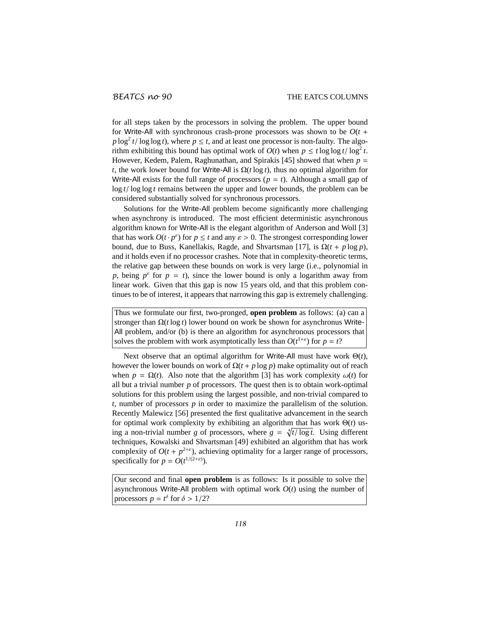for all steps taken by the processors in solving the problem. The upper bound for Write-All with synchronous crash-prone processors was shown to be  $O(t +$  $p \log^2 t / \log \log t$ , where  $p \leq t$ , and at least one processor is non-faulty. The algorithm exhibiting this bound has optimal work of  $O(t)$  when  $p \le t \log \log t / \log^2 t$ . However, Kedem, Palem, Raghunathan, and Spirakis [45] showed that when *p* = *t*, the work lower bound for Write-All is  $\Omega(t \log t)$ , thus no optimal algorithm for Write-All exists for the full range of processors  $(p = t)$ . Although a small gap of log  $t$ / log log  $t$  remains between the upper and lower bounds, the problem can be considered substantially solved for synchronous processors.

Solutions for the Write-All problem become significantly more challenging when asynchrony is introduced. The most efficient deterministic asynchronous algorithm known for Write-All is the elegant algorithm of Anderson and Woll [3] that has work  $O(t \cdot p^{\epsilon})$  for  $p \leq t$  and any  $\epsilon > 0$ . The strongest corresponding lower bound, due to Buss, Kanellakis, Ragde, and Shvartsman [17], is  $\Omega(t + p \log p)$ , and it holds even if no processor crashes. Note that in complexity-theoretic terms, the relative gap between these bounds on work is very large (i.e., polynomial in *p*, being  $p^{\epsilon}$  for  $p = t$ ), since the lower bound is only a logarithm away from linear work. Given that this gap is now 15 years old, and that this problem continues to be of interest, it appears that narrowing this gap is extremely challenging.

Thus we formulate our first, two-pronged, **open problem** as follows: (a) can a stronger than  $\Omega(t \log t)$  lower bound on work be shown for asynchronus Write-All problem, and/or (b) is there an algorithm for asynchronous processors that solves the problem with work asymptotically less than  $O(t^{1+\epsilon})$  for  $p = t$ ?

Next observe that an optimal algorithm for Write-All must have work Θ(*t*), however the lower bounds on work of  $\Omega(t + p \log p)$  make optimality out of reach when  $p = \Omega(t)$ . Also note that the algorithm [3] has work complexity  $\omega(t)$  for all but a trivial number *p* of processors. The quest then is to obtain work-optimal solutions for this problem using the largest possible, and non-trivial compared to *t*, number of processors *p* in order to maximize the parallelism of the solution. Recently Malewicz [56] presented the first qualitative advancement in the search for optimal work complexity by exhibiting an algorithm that has work Θ(*t*) using a non-trivial number *g* of processors, where  $g = \sqrt[4]{t/\log t}$ . Using different techniques, Kowalski and Shvartsman [49] exhibited an algorithm that has work complexity of  $O(t + p^{2+\epsilon})$ , achieving optimality for a larger range of processors, specifically for  $p = O(t^{1/(2+\varepsilon)})$ .

Our second and final **open problem** is as follows: Is it possible to solve the asynchronous Write-All problem with optimal work *O*(*t*) using the number of processors  $p = t^{\delta}$  for  $\delta > 1/2$ ?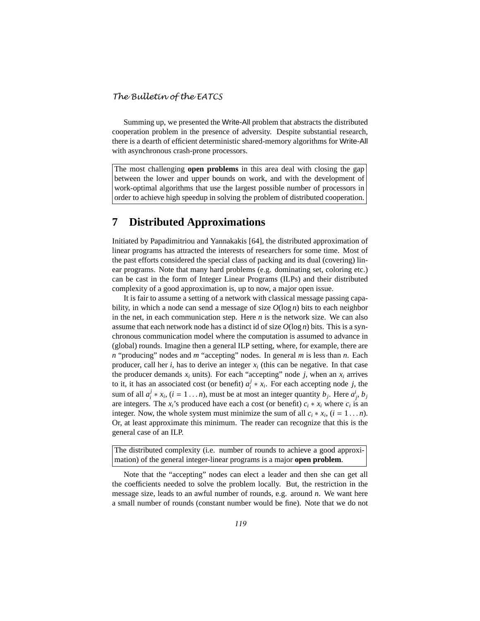Summing up, we presented the Write-All problem that abstracts the distributed cooperation problem in the presence of adversity. Despite substantial research, there is a dearth of efficient deterministic shared-memory algorithms for Write-All with asynchronous crash-prone processors.

The most challenging **open problems** in this area deal with closing the gap between the lower and upper bounds on work, and with the development of work-optimal algorithms that use the largest possible number of processors in order to achieve high speedup in solving the problem of distributed cooperation.

## **7 Distributed Approximations**

Initiated by Papadimitriou and Yannakakis [64], the distributed approximation of linear programs has attracted the interests of researchers for some time. Most of the past efforts considered the special class of packing and its dual (covering) linear programs. Note that many hard problems (e.g. dominating set, coloring etc.) can be cast in the form of Integer Linear Programs (ILPs) and their distributed complexity of a good approximation is, up to now, a major open issue.

It is fair to assume a setting of a network with classical message passing capability, in which a node can send a message of size  $O(\log n)$  bits to each neighbor in the net, in each communication step. Here *n* is the network size. We can also assume that each network node has a distinct id of size  $O(\log n)$  bits. This is a synchronous communication model where the computation is assumed to advance in (global) rounds. Imagine then a general ILP setting, where, for example, there are *n* "producing" nodes and *m* "accepting" nodes. In general *m* is less than *n*. Each producer, call her *i*, has to derive an integer *x<sup>i</sup>* (this can be negative. In that case the producer demands  $x_i$  units). For each "accepting" node *j*, when an  $x_i$  arrives to it, it has an associated cost (or benefit)  $a_i^j$  $i^j * x_i$ . For each accepting node *j*, the sum of all  $a_i^j$  $i^j * x_i$ ,  $(i = 1...n)$ , must be at most an integer quantity  $b_j$ . Here  $a^i_j$ ,  $b_j$ are integers. The  $x_i$ 's produced have each a cost (or benefit)  $c_i * x_i$  where  $c_i$  is an integer. Now, the whole system must minimize the sum of all  $c_i * x_i$ ,  $(i = 1 ... n)$ . Or, at least approximate this minimum. The reader can recognize that this is the general case of an ILP.

The distributed complexity (i.e. number of rounds to achieve a good approximation) of the general integer-linear programs is a major **open problem**.

Note that the "accepting" nodes can elect a leader and then she can get all the coefficients needed to solve the problem locally. But, the restriction in the message size, leads to an awful number of rounds, e.g. around *n*. We want here a small number of rounds (constant number would be fine). Note that we do not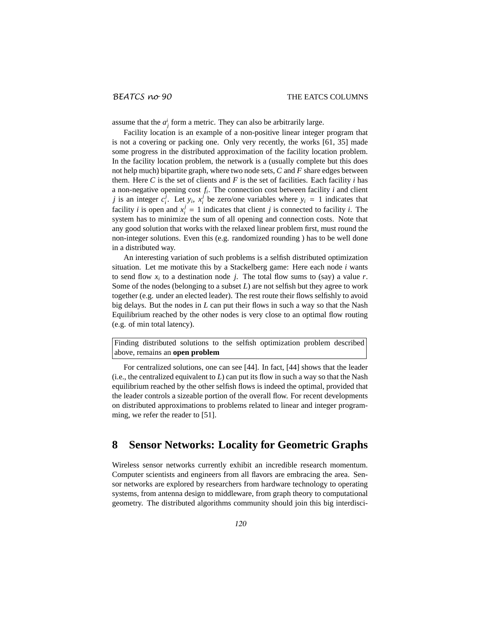assume that the  $a_j^i$  form a metric. They can also be arbitrarily large.

Facility location is an example of a non-positive linear integer program that is not a covering or packing one. Only very recently, the works [61, 35] made some progress in the distributed approximation of the facility location problem. In the facility location problem, the network is a (usually complete but this does not help much) bipartite graph, where two node sets, *C* and *F* share edges between them. Here  $C$  is the set of clients and  $F$  is the set of facilities. Each facility  $i$  has a non-negative opening cost *f<sup>i</sup>* . The connection cost between facility *i* and client *j* is an integer  $c_i^j$  $\overline{y}$ <sup>*i*</sup>. Let *y<sub>i</sub>*, *x*<sup>*j*</sup></sup>  $\frac{1}{i}$  be zero/one variables where  $y_i = 1$  indicates that facility *i* is open and  $x_i^j = 1$  indicates that client *j* is connected to facility *i*. The system has to minimize the sum of all opening and connection costs. Note that any good solution that works with the relaxed linear problem first, must round the non-integer solutions. Even this (e.g. randomized rounding ) has to be well done in a distributed way.

An interesting variation of such problems is a selfish distributed optimization situation. Let me motivate this by a Stackelberg game: Here each node *i* wants to send flow  $x_i$  to a destination node *j*. The total flow sums to (say) a value *r*. Some of the nodes (belonging to a subset *L*) are not selfish but they agree to work together (e.g. under an elected leader). The rest route their flows selfishly to avoid big delays. But the nodes in *L* can put their flows in such a way so that the Nash Equilibrium reached by the other nodes is very close to an optimal flow routing (e.g. of min total latency).

Finding distributed solutions to the selfish optimization problem described above, remains an **open problem**

For centralized solutions, one can see [44]. In fact, [44] shows that the leader  $(i.e., the centralized equivalent to  $L$ ) can put its flow in such a way so that the Nash$ equilibrium reached by the other selfish flows is indeed the optimal, provided that the leader controls a sizeable portion of the overall flow. For recent developments on distributed approximations to problems related to linear and integer programming, we refer the reader to [51].

## **8 Sensor Networks: Locality for Geometric Graphs**

Wireless sensor networks currently exhibit an incredible research momentum. Computer scientists and engineers from all flavors are embracing the area. Sensor networks are explored by researchers from hardware technology to operating systems, from antenna design to middleware, from graph theory to computational geometry. The distributed algorithms community should join this big interdisci-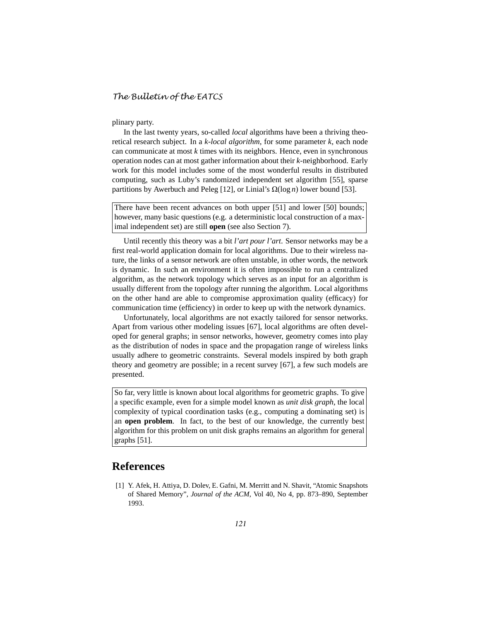plinary party.

In the last twenty years, so-called *local* algorithms have been a thriving theoretical research subject. In a *k-local algorithm*, for some parameter *k*, each node can communicate at most *k* times with its neighbors. Hence, even in synchronous operation nodes can at most gather information about their *k*-neighborhood. Early work for this model includes some of the most wonderful results in distributed computing, such as Luby's randomized independent set algorithm [55], sparse partitions by Awerbuch and Peleg [12], or Linial's  $\Omega(\log n)$  lower bound [53].

There have been recent advances on both upper [51] and lower [50] bounds; however, many basic questions (e.g. a deterministic local construction of a maximal independent set) are still **open** (see also Section 7).

Until recently this theory was a bit *l'art pour l'art*. Sensor networks may be a first real-world application domain for local algorithms. Due to their wireless nature, the links of a sensor network are often unstable, in other words, the network is dynamic. In such an environment it is often impossible to run a centralized algorithm, as the network topology which serves as an input for an algorithm is usually different from the topology after running the algorithm. Local algorithms on the other hand are able to compromise approximation quality (efficacy) for communication time (efficiency) in order to keep up with the network dynamics.

Unfortunately, local algorithms are not exactly tailored for sensor networks. Apart from various other modeling issues [67], local algorithms are often developed for general graphs; in sensor networks, however, geometry comes into play as the distribution of nodes in space and the propagation range of wireless links usually adhere to geometric constraints. Several models inspired by both graph theory and geometry are possible; in a recent survey [67], a few such models are presented.

So far, very little is known about local algorithms for geometric graphs. To give a specific example, even for a simple model known as *unit disk graph*, the local complexity of typical coordination tasks (e.g., computing a dominating set) is an **open problem**. In fact, to the best of our knowledge, the currently best algorithm for this problem on unit disk graphs remains an algorithm for general graphs [51].

## **References**

[1] Y. Afek, H. Attiya, D. Dolev, E. Gafni, M. Merritt and N. Shavit, "Atomic Snapshots of Shared Memory", *Journal of the ACM*, Vol 40, No 4, pp. 873–890, September 1993.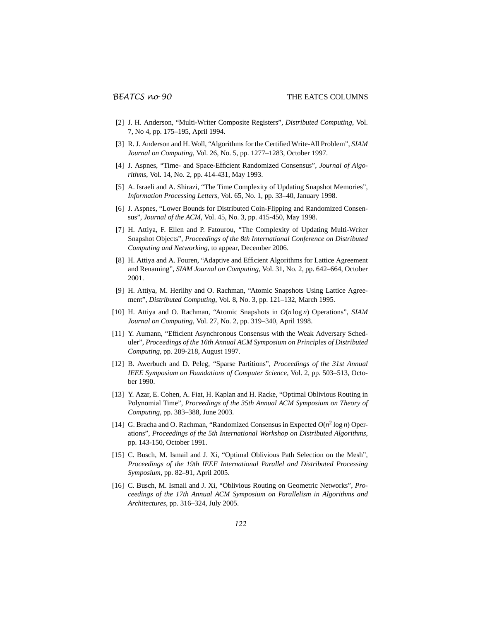- [2] J. H. Anderson, "Multi-Writer Composite Registers", *Distributed Computing*, Vol. 7, No 4, pp. 175–195, April 1994.
- [3] R. J. Anderson and H. Woll, "Algorithms for the Certified Write-All Problem", *SIAM Journal on Computing*, Vol. 26, No. 5, pp. 1277–1283, October 1997.
- [4] J. Aspnes, "Time- and Space-Efficient Randomized Consensus", *Journal of Algorithms*, Vol. 14, No. 2, pp. 414-431, May 1993.
- [5] A. Israeli and A. Shirazi, "The Time Complexity of Updating Snapshot Memories", *Information Processing Letters*, Vol. 65, No. 1, pp. 33–40, January 1998.
- [6] J. Aspnes, "Lower Bounds for Distributed Coin-Flipping and Randomized Consensus", *Journal of the ACM*, Vol. 45, No. 3, pp. 415-450, May 1998.
- [7] H. Attiya, F. Ellen and P. Fatourou, "The Complexity of Updating Multi-Writer Snapshot Objects", *Proceedings of the 8th International Conference on Distributed Computing and Networking*, to appear, December 2006.
- [8] H. Attiya and A. Fouren, "Adaptive and Efficient Algorithms for Lattice Agreement and Renaming", *SIAM Journal on Computing*, Vol. 31, No. 2, pp. 642–664, October 2001.
- [9] H. Attiya, M. Herlihy and O. Rachman, "Atomic Snapshots Using Lattice Agreement", *Distributed Computing*, Vol. 8, No. 3, pp. 121–132, March 1995.
- [10] H. Attiya and O. Rachman, "Atomic Snapshots in *O*(*n* log *n*) Operations", *SIAM Journal on Computing*, Vol. 27, No. 2, pp. 319–340, April 1998.
- [11] Y. Aumann, "Efficient Asynchronous Consensus with the Weak Adversary Scheduler", *Proceedings of the 16th Annual ACM Symposium on Principles of Distributed Computing*, pp. 209-218, August 1997.
- [12] B. Awerbuch and D. Peleg, "Sparse Partitions", *Proceedings of the 31st Annual IEEE Symposium on Foundations of Computer Science*, Vol. 2, pp. 503–513, October 1990.
- [13] Y. Azar, E. Cohen, A. Fiat, H. Kaplan and H. Racke, "Optimal Oblivious Routing in Polynomial Time", *Proceedings of the 35th Annual ACM Symposium on Theory of Computing*, pp. 383–388, June 2003.
- [14] G. Bracha and O. Rachman, "Randomized Consensus in Expected  $O(n^2 \log n)$  Operations", *Proceedings of the 5th International Workshop on Distributed Algorithms*, pp. 143-150, October 1991.
- [15] C. Busch, M. Ismail and J. Xi, "Optimal Oblivious Path Selection on the Mesh", *Proceedings of the 19th IEEE International Parallel and Distributed Processing Symposium*, pp. 82–91, April 2005.
- [16] C. Busch, M. Ismail and J. Xi, "Oblivious Routing on Geometric Networks", *Proceedings of the 17th Annual ACM Symposium on Parallelism in Algorithms and Architectures*, pp. 316–324, July 2005.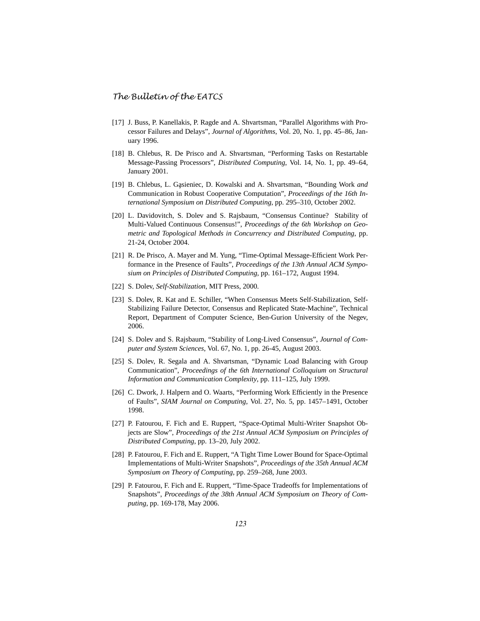- [17] J. Buss, P. Kanellakis, P. Ragde and A. Shvartsman, "Parallel Algorithms with Processor Failures and Delays", *Journal of Algorithms*, Vol. 20, No. 1, pp. 45–86, January 1996.
- [18] B. Chlebus, R. De Prisco and A. Shvartsman, "Performing Tasks on Restartable Message-Passing Processors", *Distributed Computing*, Vol. 14, No. 1, pp. 49–64, January 2001.
- [19] B. Chlebus, L. Gąsieniec, D. Kowalski and A. Shvartsman, "Bounding Work and Communication in Robust Cooperative Computation", *Proceedings of the 16th International Symposium on Distributed Computing*, pp. 295–310, October 2002.
- [20] L. Davidovitch, S. Dolev and S. Rajsbaum, "Consensus Continue? Stability of Multi-Valued Continuous Consensus!", *Proceedings of the 6th Workshop on Geometric and Topological Methods in Concurrency and Distributed Computing*, pp. 21-24, October 2004.
- [21] R. De Prisco, A. Mayer and M. Yung, "Time-Optimal Message-Efficient Work Performance in the Presence of Faults", *Proceedings of the 13th Annual ACM Symposium on Principles of Distributed Computing*, pp. 161–172, August 1994.
- [22] S. Dolev, *Self-Stabilization*, MIT Press, 2000.
- [23] S. Dolev, R. Kat and E. Schiller, "When Consensus Meets Self-Stabilization, Self-Stabilizing Failure Detector, Consensus and Replicated State-Machine", Technical Report, Department of Computer Science, Ben-Gurion University of the Negev, 2006.
- [24] S. Dolev and S. Rajsbaum, "Stability of Long-Lived Consensus", *Journal of Computer and System Sciences*, Vol. 67, No. 1, pp. 26-45, August 2003.
- [25] S. Dolev, R. Segala and A. Shvartsman, "Dynamic Load Balancing with Group Communication", *Proceedings of the 6th International Colloquium on Structural Information and Communication Complexity*, pp. 111–125, July 1999.
- [26] C. Dwork, J. Halpern and O. Waarts, "Performing Work Efficiently in the Presence of Faults", *SIAM Journal on Computing*, Vol. 27, No. 5, pp. 1457–1491, October 1998.
- [27] P. Fatourou, F. Fich and E. Ruppert, "Space-Optimal Multi-Writer Snapshot Objects are Slow", *Proceedings of the 21st Annual ACM Symposium on Principles of Distributed Computing*, pp. 13–20, July 2002.
- [28] P. Fatourou, F. Fich and E. Ruppert, "A Tight Time Lower Bound for Space-Optimal Implementations of Multi-Writer Snapshots", *Proceedings of the 35th Annual ACM Symposium on Theory of Computing*, pp. 259–268, June 2003.
- [29] P. Fatourou, F. Fich and E. Ruppert, "Time-Space Tradeoffs for Implementations of Snapshots", *Proceedings of the 38th Annual ACM Symposium on Theory of Computing*, pp. 169-178, May 2006.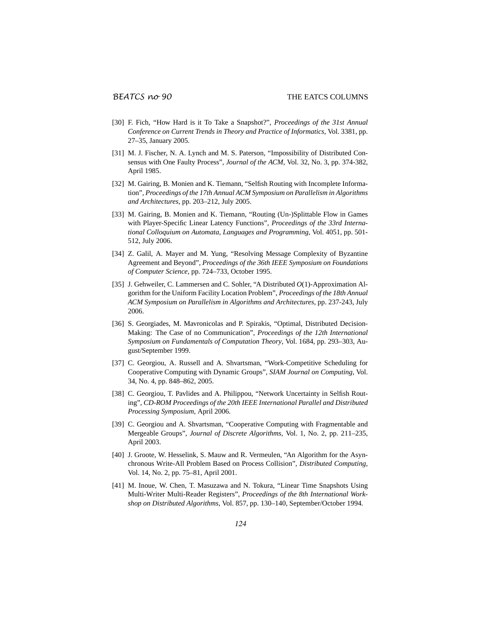- [30] F. Fich, "How Hard is it To Take a Snapshot?", *Proceedings of the 31st Annual Conference on Current Trends in Theory and Practice of Informatics*, Vol. 3381, pp. 27–35, January 2005.
- [31] M. J. Fischer, N. A. Lynch and M. S. Paterson, "Impossibility of Distributed Consensus with One Faulty Process", *Journal of the ACM*, Vol. 32, No. 3, pp. 374-382, April 1985.
- [32] M. Gairing, B. Monien and K. Tiemann, "Selfish Routing with Incomplete Information", *Proceedings of the 17th Annual ACM Symposium on Parallelism in Algorithms and Architectures*, pp. 203–212, July 2005.
- [33] M. Gairing, B. Monien and K. Tiemann, "Routing (Un-)Splittable Flow in Games with Player-Specific Linear Latency Functions", *Proceedings of the 33rd International Colloquium on Automata, Languages and Programming*, Vol. 4051, pp. 501- 512, July 2006.
- [34] Z. Galil, A. Mayer and M. Yung, "Resolving Message Complexity of Byzantine Agreement and Beyond", *Proceedings of the 36th IEEE Symposium on Foundations of Computer Science*, pp. 724–733, October 1995.
- [35] J. Gehweiler, C. Lammersen and C. Sohler, "A Distributed  $O(1)$ -Approximation Algorithm for the Uniform Facility Location Problem", *Proceedings of the 18th Annual ACM Symposium on Parallelism in Algorithms and Architectures*, pp. 237-243, July 2006.
- [36] S. Georgiades, M. Mavronicolas and P. Spirakis, "Optimal, Distributed Decision-Making: The Case of no Communication", *Proceedings of the 12th International Symposium on Fundamentals of Computation Theory*, Vol. 1684, pp. 293–303, August/September 1999.
- [37] C. Georgiou, A. Russell and A. Shvartsman, "Work-Competitive Scheduling for Cooperative Computing with Dynamic Groups", *SIAM Journal on Computing*, Vol. 34, No. 4, pp. 848–862, 2005.
- [38] C. Georgiou, T. Pavlides and A. Philippou, "Network Uncertainty in Selfish Routing", *CD-ROM Proceedings of the 20th IEEE International Parallel and Distributed Processing Symposium*, April 2006.
- [39] C. Georgiou and A. Shvartsman, "Cooperative Computing with Fragmentable and Mergeable Groups", *Journal of Discrete Algorithms*, Vol. 1, No. 2, pp. 211–235, April 2003.
- [40] J. Groote, W. Hesselink, S. Mauw and R. Vermeulen, "An Algorithm for the Asynchronous Write-All Problem Based on Process Collision", *Distributed Computing*, Vol. 14, No. 2, pp. 75–81, April 2001.
- [41] M. Inoue, W. Chen, T. Masuzawa and N. Tokura, "Linear Time Snapshots Using Multi-Writer Multi-Reader Registers", *Proceedings of the 8th International Workshop on Distributed Algorithms*, Vol. 857, pp. 130–140, September/October 1994.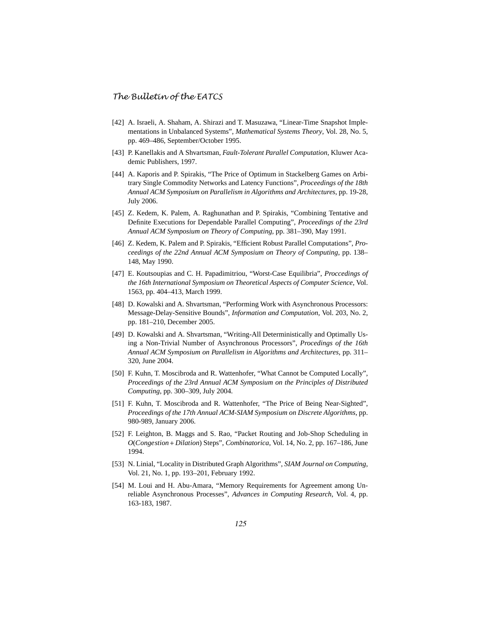- [42] A. Israeli, A. Shaham, A. Shirazi and T. Masuzawa, "Linear-Time Snapshot Implementations in Unbalanced Systems", *Mathematical Systems Theory*, Vol. 28, No. 5, pp. 469–486, September/October 1995.
- [43] P. Kanellakis and A Shvartsman, *Fault-Tolerant Parallel Computation*, Kluwer Academic Publishers, 1997.
- [44] A. Kaporis and P. Spirakis, "The Price of Optimum in Stackelberg Games on Arbitrary Single Commodity Networks and Latency Functions", *Proceedings of the 18th Annual ACM Symposium on Parallelism in Algorithms and Architectures*, pp. 19-28, July 2006.
- [45] Z. Kedem, K. Palem, A. Raghunathan and P. Spirakis, "Combining Tentative and Definite Executions for Dependable Parallel Computing", *Proceedings of the 23rd Annual ACM Symposium on Theory of Computing*, pp. 381–390, May 1991.
- [46] Z. Kedem, K. Palem and P. Spirakis, "Efficient Robust Parallel Computations", *Proceedings of the 22nd Annual ACM Symposium on Theory of Computing*, pp. 138– 148, May 1990.
- [47] E. Koutsoupias and C. H. Papadimitriou, "Worst-Case Equilibria", *Proccedings of the 16th International Symposium on Theoretical Aspects of Computer Science*, Vol. 1563, pp. 404–413, March 1999.
- [48] D. Kowalski and A. Shvartsman, "Performing Work with Asynchronous Processors: Message-Delay-Sensitive Bounds", *Information and Computation*, Vol. 203, No. 2, pp. 181–210, December 2005.
- [49] D. Kowalski and A. Shvartsman, "Writing-All Deterministically and Optimally Using a Non-Trivial Number of Asynchronous Processors", *Procedings of the 16th Annual ACM Symposium on Parallelism in Algorithms and Architectures*, pp. 311– 320, June 2004.
- [50] F. Kuhn, T. Moscibroda and R. Wattenhofer, "What Cannot be Computed Locally", *Proceedings of the 23rd Annual ACM Symposium on the Principles of Distributed Computing*, pp. 300–309, July 2004.
- [51] F. Kuhn, T. Moscibroda and R. Wattenhofer, "The Price of Being Near-Sighted", *Proceedings of the 17th Annual ACM-SIAM Symposium on Discrete Algorithms*, pp. 980-989, January 2006.
- [52] F. Leighton, B. Maggs and S. Rao, "Packet Routing and Job-Shop Scheduling in *O*(*Congestion*+ *Dilation*) Steps", *Combinatorica*, Vol. 14, No. 2, pp. 167–186, June 1994.
- [53] N. Linial, "Locality in Distributed Graph Algorithms", *SIAM Journal on Computing*, Vol. 21, No. 1, pp. 193–201, February 1992.
- [54] M. Loui and H. Abu-Amara, "Memory Requirements for Agreement among Unreliable Asynchronous Processes", *Advances in Computing Research*, Vol. 4, pp. 163-183, 1987.